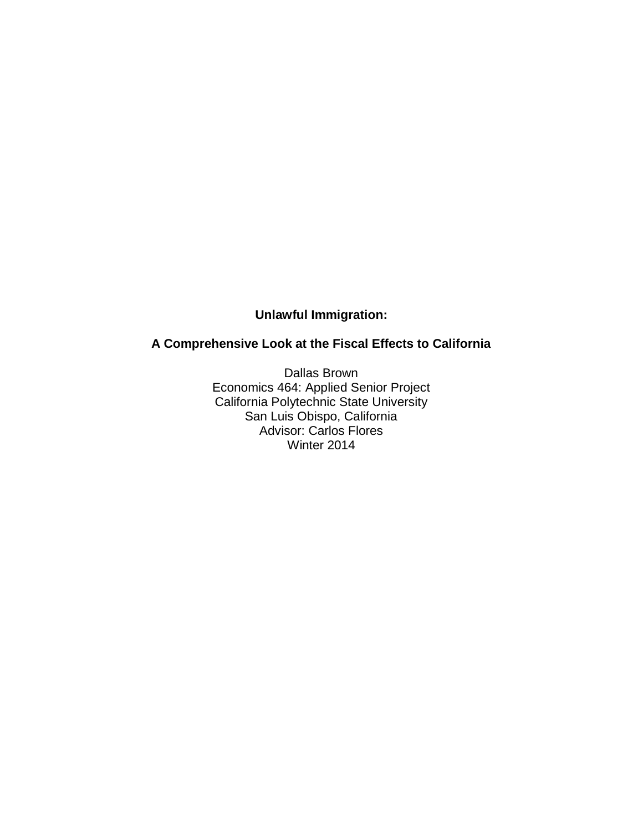# **Unlawful Immigration:**

# **A Comprehensive Look at the Fiscal Effects to California**

Dallas Brown Economics 464: Applied Senior Project California Polytechnic State University San Luis Obispo, California Advisor: Carlos Flores Winter 2014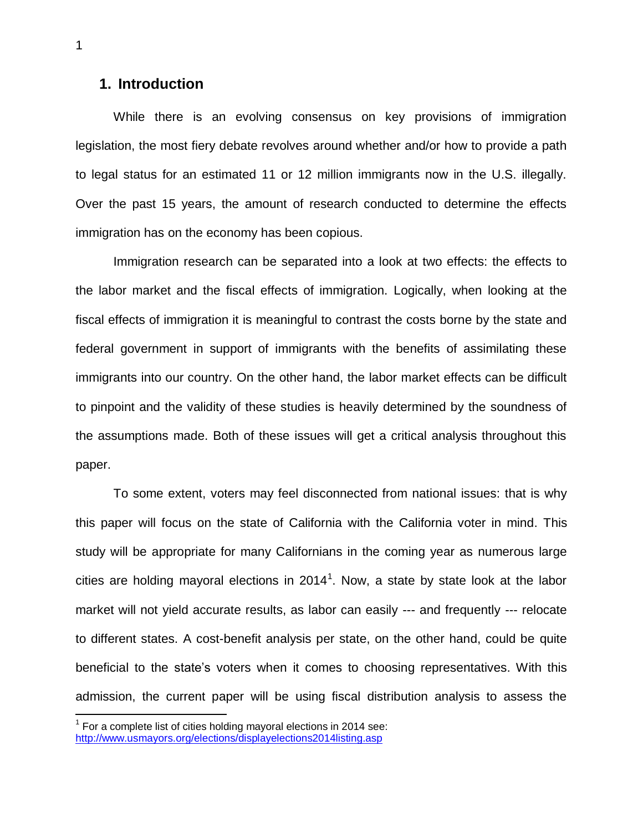## **1. Introduction**

While there is an evolving consensus on key provisions of immigration legislation, the most fiery debate revolves around whether and/or how to provide a path to legal status for an estimated 11 or 12 million immigrants now in the U.S. illegally. Over the past 15 years, the amount of research conducted to determine the effects immigration has on the economy has been copious.

Immigration research can be separated into a look at two effects: the effects to the labor market and the fiscal effects of immigration. Logically, when looking at the fiscal effects of immigration it is meaningful to contrast the costs borne by the state and federal government in support of immigrants with the benefits of assimilating these immigrants into our country. On the other hand, the labor market effects can be difficult to pinpoint and the validity of these studies is heavily determined by the soundness of the assumptions made. Both of these issues will get a critical analysis throughout this paper.

To some extent, voters may feel disconnected from national issues: that is why this paper will focus on the state of California with the California voter in mind. This study will be appropriate for many Californians in the coming year as numerous large cities are holding mayoral elections in 2014<sup>1</sup>. Now, a state by state look at the labor market will not yield accurate results, as labor can easily --- and frequently --- relocate to different states. A cost-benefit analysis per state, on the other hand, could be quite beneficial to the state's voters when it comes to choosing representatives. With this admission, the current paper will be using fiscal distribution analysis to assess the

 $1$  For a complete list of cities holding mayoral elections in 2014 see: <http://www.usmayors.org/elections/displayelections2014listing.asp>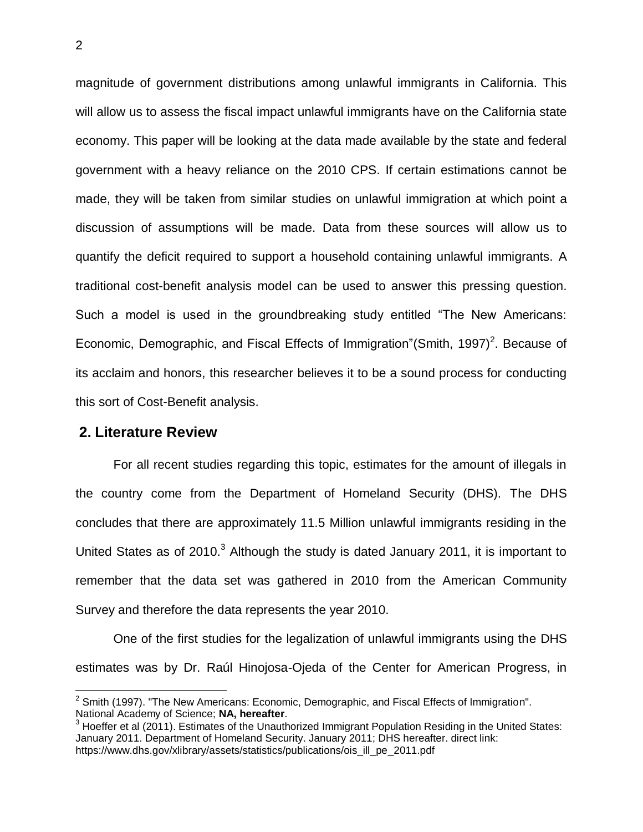magnitude of government distributions among unlawful immigrants in California. This will allow us to assess the fiscal impact unlawful immigrants have on the California state economy. This paper will be looking at the data made available by the state and federal government with a heavy reliance on the 2010 CPS. If certain estimations cannot be made, they will be taken from similar studies on unlawful immigration at which point a discussion of assumptions will be made. Data from these sources will allow us to quantify the deficit required to support a household containing unlawful immigrants. A traditional cost-benefit analysis model can be used to answer this pressing question. Such a model is used in the groundbreaking study entitled "The New Americans: Economic, Demographic, and Fiscal Effects of Immigration"(Smith, 1997)<sup>2</sup>. Because of its acclaim and honors, this researcher believes it to be a sound process for conducting this sort of Cost-Benefit analysis.

### **2. Literature Review**

 $\overline{a}$ 

For all recent studies regarding this topic, estimates for the amount of illegals in the country come from the Department of Homeland Security (DHS). The DHS concludes that there are approximately 11.5 Million unlawful immigrants residing in the United States as of  $2010<sup>3</sup>$  Although the study is dated January 2011, it is important to remember that the data set was gathered in 2010 from the American Community Survey and therefore the data represents the year 2010.

One of the first studies for the legalization of unlawful immigrants using the DHS estimates was by Dr. Raúl Hinojosa-Ojeda of the Center for American Progress, in

 $2$  Smith (1997). "The New Americans: Economic, Demographic, and Fiscal Effects of Immigration". National Academy of Science; **NA, hereafter**.

 $3$  Hoeffer et al (2011). Estimates of the Unauthorized Immigrant Population Residing in the United States: January 2011. Department of Homeland Security. January 2011; DHS hereafter. direct link: https://www.dhs.gov/xlibrary/assets/statistics/publications/ois\_ill\_pe\_2011.pdf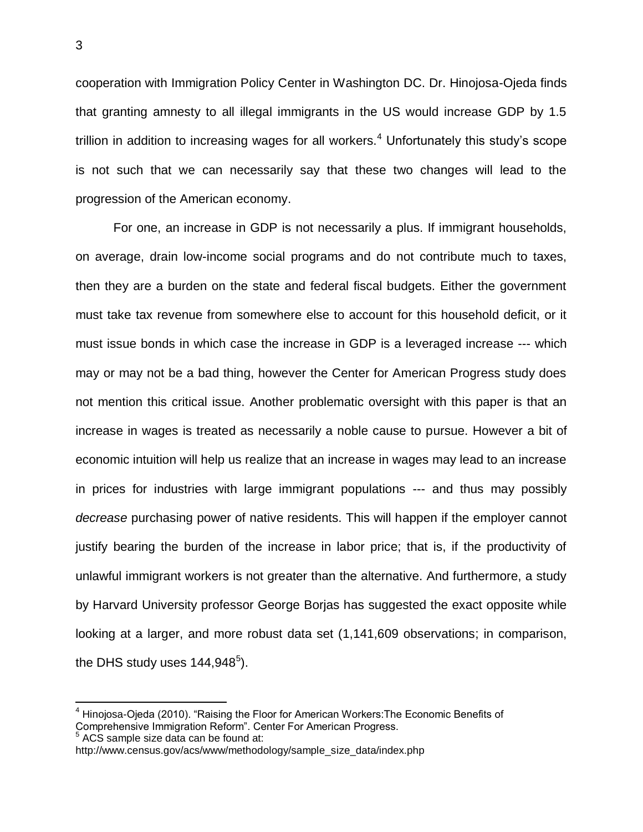cooperation with Immigration Policy Center in Washington DC. Dr. Hinojosa-Ojeda finds that granting amnesty to all illegal immigrants in the US would increase GDP by 1.5 trillion in addition to increasing wages for all workers.<sup>4</sup> Unfortunately this study's scope is not such that we can necessarily say that these two changes will lead to the progression of the American economy.

For one, an increase in GDP is not necessarily a plus. If immigrant households, on average, drain low-income social programs and do not contribute much to taxes, then they are a burden on the state and federal fiscal budgets. Either the government must take tax revenue from somewhere else to account for this household deficit, or it must issue bonds in which case the increase in GDP is a leveraged increase --- which may or may not be a bad thing, however the Center for American Progress study does not mention this critical issue. Another problematic oversight with this paper is that an increase in wages is treated as necessarily a noble cause to pursue. However a bit of economic intuition will help us realize that an increase in wages may lead to an increase in prices for industries with large immigrant populations --- and thus may possibly *decrease* purchasing power of native residents. This will happen if the employer cannot justify bearing the burden of the increase in labor price; that is, if the productivity of unlawful immigrant workers is not greater than the alternative. And furthermore, a study by Harvard University professor George Borjas has suggested the exact opposite while looking at a larger, and more robust data set (1,141,609 observations; in comparison, the DHS study uses 144,948 $^5$ ).

 $5$  ACS sample size data can be found at:

 $4$  Hinojosa-Ojeda (2010). "Raising the Floor for American Workers: The Economic Benefits of Comprehensive Immigration Reform". Center For American Progress.

http://www.census.gov/acs/www/methodology/sample\_size\_data/index.php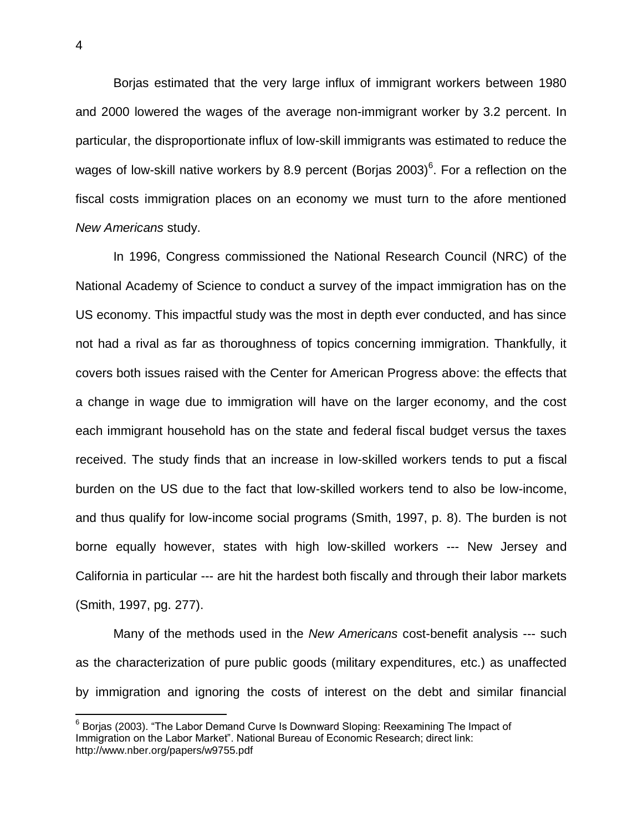Borjas estimated that the very large influx of immigrant workers between 1980 and 2000 lowered the wages of the average non-immigrant worker by 3.2 percent. In particular, the disproportionate influx of low-skill immigrants was estimated to reduce the wages of low-skill native workers by 8.9 percent (Borjas 2003)<sup>6</sup>. For a reflection on the fiscal costs immigration places on an economy we must turn to the afore mentioned *New Americans* study.

In 1996, Congress commissioned the National Research Council (NRC) of the National Academy of Science to conduct a survey of the impact immigration has on the US economy. This impactful study was the most in depth ever conducted, and has since not had a rival as far as thoroughness of topics concerning immigration. Thankfully, it covers both issues raised with the Center for American Progress above: the effects that a change in wage due to immigration will have on the larger economy, and the cost each immigrant household has on the state and federal fiscal budget versus the taxes received. The study finds that an increase in low-skilled workers tends to put a fiscal burden on the US due to the fact that low-skilled workers tend to also be low-income, and thus qualify for low-income social programs (Smith, 1997, p. 8). The burden is not borne equally however, states with high low-skilled workers --- New Jersey and California in particular --- are hit the hardest both fiscally and through their labor markets (Smith, 1997, pg. 277).

Many of the methods used in the *New Americans* cost-benefit analysis --- such as the characterization of pure public goods (military expenditures, etc.) as unaffected by immigration and ignoring the costs of interest on the debt and similar financial

<sup>&</sup>lt;sup>6</sup> Borjas (2003). "The Labor Demand Curve Is Downward Sloping: Reexamining The Impact of Immigration on the Labor Market". National Bureau of Economic Research; direct link: http://www.nber.org/papers/w9755.pdf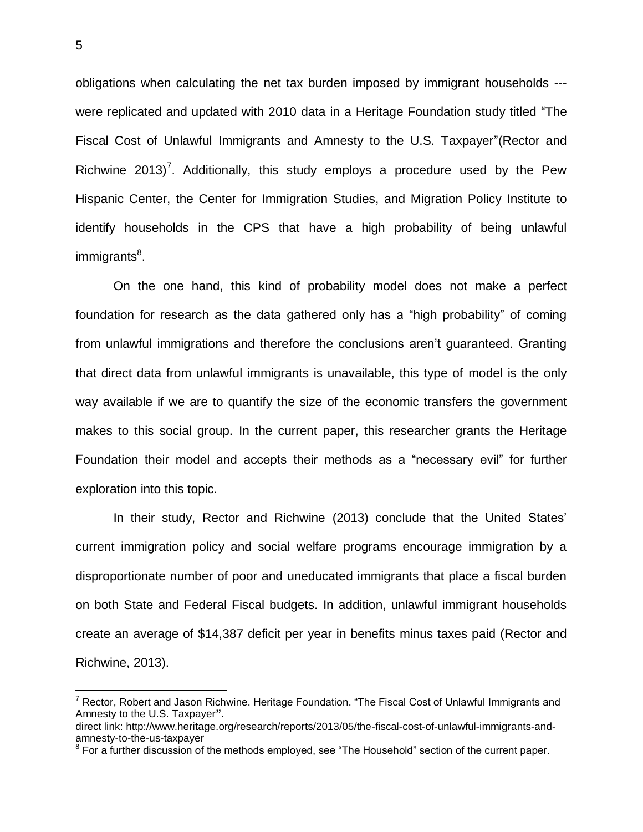obligations when calculating the net tax burden imposed by immigrant households -- were replicated and updated with 2010 data in a Heritage Foundation study titled "The Fiscal Cost of Unlawful Immigrants and Amnesty to the U.S. Taxpayer"(Rector and Richwine 2013)<sup>7</sup>. Additionally, this study employs a procedure used by the Pew Hispanic Center, the Center for Immigration Studies, and Migration Policy Institute to identify households in the CPS that have a high probability of being unlawful immigrants<sup>8</sup>.

On the one hand, this kind of probability model does not make a perfect foundation for research as the data gathered only has a "high probability" of coming from unlawful immigrations and therefore the conclusions aren't guaranteed. Granting that direct data from unlawful immigrants is unavailable, this type of model is the only way available if we are to quantify the size of the economic transfers the government makes to this social group. In the current paper, this researcher grants the Heritage Foundation their model and accepts their methods as a "necessary evil" for further exploration into this topic.

In their study, Rector and Richwine (2013) conclude that the United States' current immigration policy and social welfare programs encourage immigration by a disproportionate number of poor and uneducated immigrants that place a fiscal burden on both State and Federal Fiscal budgets. In addition, unlawful immigrant households create an average of \$14,387 deficit per year in benefits minus taxes paid (Rector and Richwine, 2013).

 $7$  Rector, Robert and Jason Richwine. Heritage Foundation. "The Fiscal Cost of Unlawful Immigrants and Amnesty to the U.S. Taxpayer**".**

direct link: http://www.heritage.org/research/reports/2013/05/the-fiscal-cost-of-unlawful-immigrants-andamnesty-to-the-us-taxpayer

 $8$  For a further discussion of the methods employed, see "The Household" section of the current paper.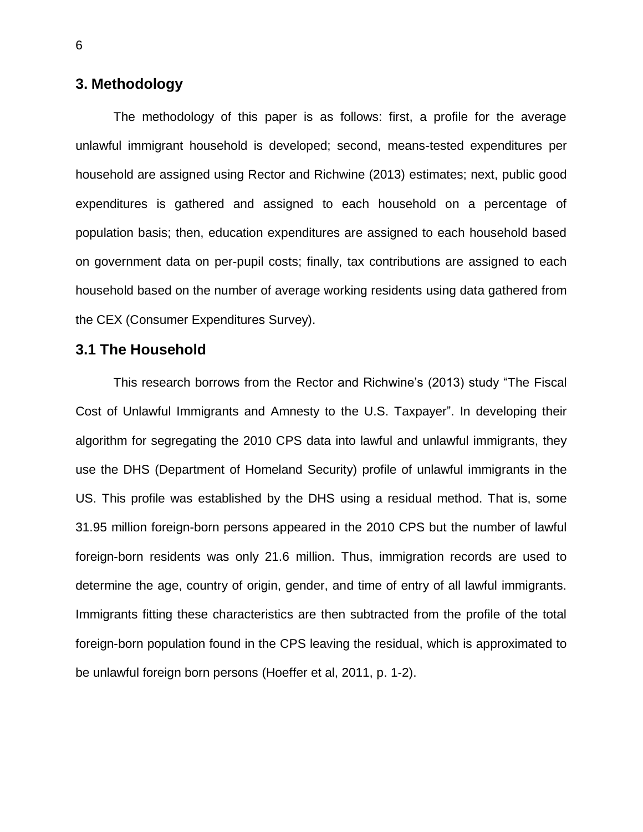# **3. Methodology**

The methodology of this paper is as follows: first, a profile for the average unlawful immigrant household is developed; second, means-tested expenditures per household are assigned using Rector and Richwine (2013) estimates; next, public good expenditures is gathered and assigned to each household on a percentage of population basis; then, education expenditures are assigned to each household based on government data on per-pupil costs; finally, tax contributions are assigned to each household based on the number of average working residents using data gathered from the CEX (Consumer Expenditures Survey).

## **3.1 The Household**

This research borrows from the Rector and Richwine's (2013) study "The Fiscal Cost of Unlawful Immigrants and Amnesty to the U.S. Taxpayer". In developing their algorithm for segregating the 2010 CPS data into lawful and unlawful immigrants, they use the DHS (Department of Homeland Security) profile of unlawful immigrants in the US. This profile was established by the DHS using a residual method. That is, some 31.95 million foreign-born persons appeared in the 2010 CPS but the number of lawful foreign-born residents was only 21.6 million. Thus, immigration records are used to determine the age, country of origin, gender, and time of entry of all lawful immigrants. Immigrants fitting these characteristics are then subtracted from the profile of the total foreign-born population found in the CPS leaving the residual, which is approximated to be unlawful foreign born persons (Hoeffer et al, 2011, p. 1-2).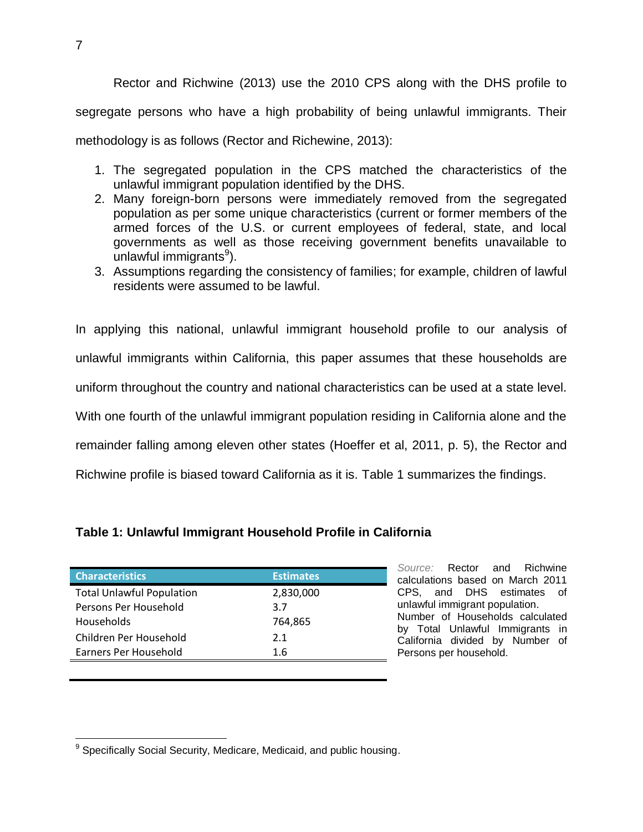Rector and Richwine (2013) use the 2010 CPS along with the DHS profile to segregate persons who have a high probability of being unlawful immigrants. Their methodology is as follows (Rector and Richewine, 2013):

- 1. The segregated population in the CPS matched the characteristics of the unlawful immigrant population identified by the DHS.
- 2. Many foreign-born persons were immediately removed from the segregated population as per some unique characteristics (current or former members of the armed forces of the U.S. or current employees of federal, state, and local governments as well as those receiving government benefits unavailable to unlawful immigrants<sup>9</sup>).
- 3. Assumptions regarding the consistency of families; for example, children of lawful residents were assumed to be lawful.

In applying this national, unlawful immigrant household profile to our analysis of unlawful immigrants within California, this paper assumes that these households are uniform throughout the country and national characteristics can be used at a state level. With one fourth of the unlawful immigrant population residing in California alone and the remainder falling among eleven other states (Hoeffer et al, 2011, p. 5), the Rector and Richwine profile is biased toward California as it is. Table 1 summarizes the findings.

## **Table 1: Unlawful Immigrant Household Profile in California**

| <b>Characteristics</b>           | <b>Estimates</b> |
|----------------------------------|------------------|
| <b>Total Unlawful Population</b> | 2,830,000        |
| Persons Per Household            | 3.7              |
| <b>Households</b>                | 764,865          |
| Children Per Household           | 2.1              |
| Earners Per Household            | 1.6              |
|                                  |                  |

*Source:* Rector and Richwine calculations based on March 2011 CPS, and DHS estimates of unlawful immigrant population. Number of Households calculated by Total Unlawful Immigrants in California divided by Number of Persons per household.

 $\overline{a}$ <sup>9</sup> Specifically Social Security, Medicare, Medicaid, and public housing.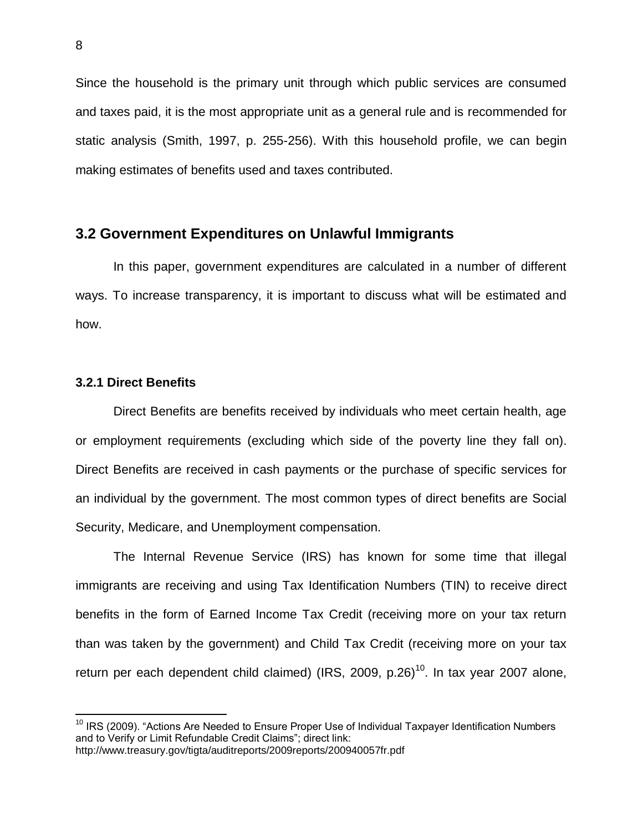Since the household is the primary unit through which public services are consumed and taxes paid, it is the most appropriate unit as a general rule and is recommended for static analysis (Smith, 1997, p. 255-256). With this household profile, we can begin making estimates of benefits used and taxes contributed.

## **3.2 Government Expenditures on Unlawful Immigrants**

In this paper, government expenditures are calculated in a number of different ways. To increase transparency, it is important to discuss what will be estimated and how.

### **3.2.1 Direct Benefits**

 $\overline{a}$ 

Direct Benefits are benefits received by individuals who meet certain health, age or employment requirements (excluding which side of the poverty line they fall on). Direct Benefits are received in cash payments or the purchase of specific services for an individual by the government. The most common types of direct benefits are Social Security, Medicare, and Unemployment compensation.

The Internal Revenue Service (IRS) has known for some time that illegal immigrants are receiving and using Tax Identification Numbers (TIN) to receive direct benefits in the form of Earned Income Tax Credit (receiving more on your tax return than was taken by the government) and Child Tax Credit (receiving more on your tax return per each dependent child claimed) (IRS, 2009, p.26)<sup>10</sup>. In tax year 2007 alone,

<sup>&</sup>lt;sup>10</sup> IRS (2009). "Actions Are Needed to Ensure Proper Use of Individual Taxpayer Identification Numbers and to Verify or Limit Refundable Credit Claims"; direct link: http://www.treasury.gov/tigta/auditreports/2009reports/200940057fr.pdf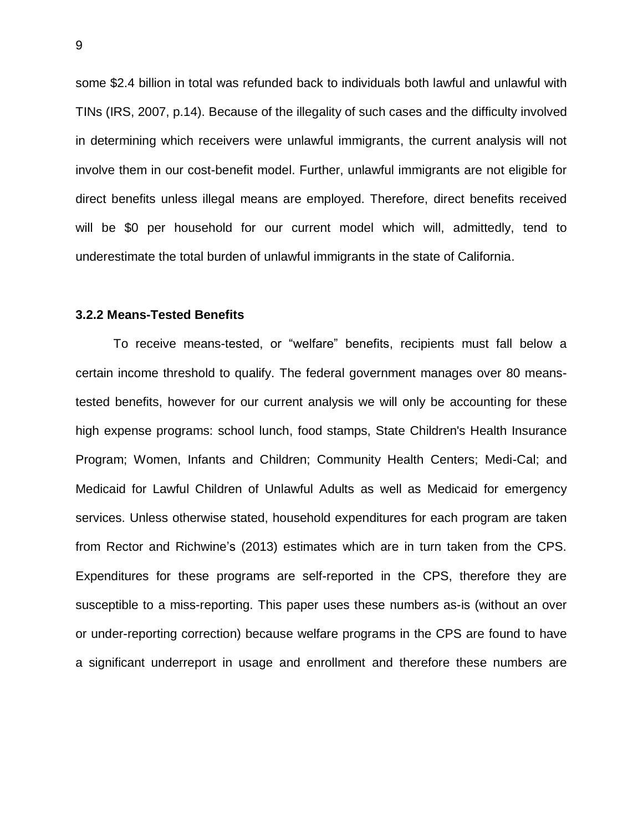some \$2.4 billion in total was refunded back to individuals both lawful and unlawful with TINs (IRS, 2007, p.14). Because of the illegality of such cases and the difficulty involved in determining which receivers were unlawful immigrants, the current analysis will not involve them in our cost-benefit model. Further, unlawful immigrants are not eligible for direct benefits unless illegal means are employed. Therefore, direct benefits received will be \$0 per household for our current model which will, admittedly, tend to underestimate the total burden of unlawful immigrants in the state of California.

#### **3.2.2 Means-Tested Benefits**

To receive means-tested, or "welfare" benefits, recipients must fall below a certain income threshold to qualify. The federal government manages over 80 meanstested benefits, however for our current analysis we will only be accounting for these high expense programs: school lunch, food stamps, State Children's Health Insurance Program; Women, Infants and Children; Community Health Centers; Medi-Cal; and Medicaid for Lawful Children of Unlawful Adults as well as Medicaid for emergency services. Unless otherwise stated, household expenditures for each program are taken from Rector and Richwine's (2013) estimates which are in turn taken from the CPS. Expenditures for these programs are self-reported in the CPS, therefore they are susceptible to a miss-reporting. This paper uses these numbers as-is (without an over or under-reporting correction) because welfare programs in the CPS are found to have a significant underreport in usage and enrollment and therefore these numbers are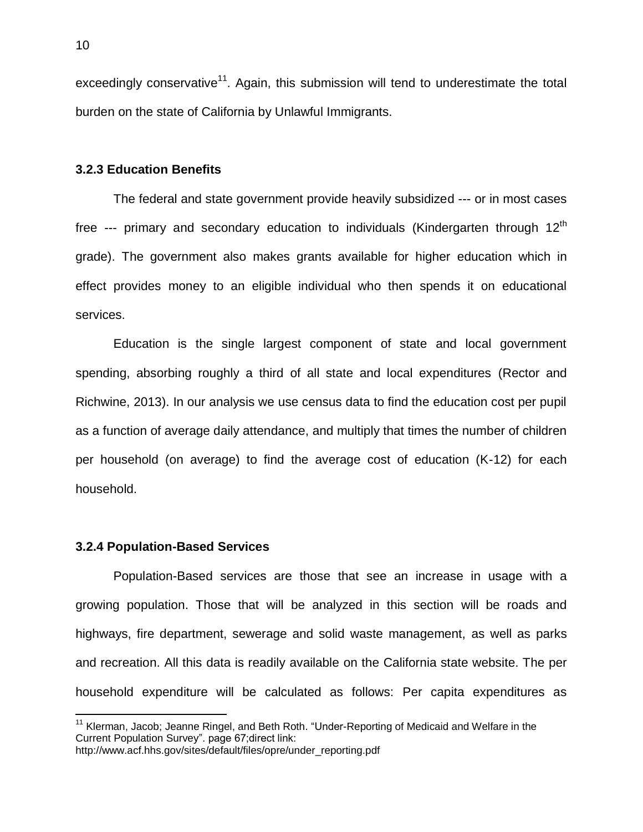exceedingly conservative<sup>11</sup>. Again, this submission will tend to underestimate the total burden on the state of California by Unlawful Immigrants.

#### **3.2.3 Education Benefits**

The federal and state government provide heavily subsidized --- or in most cases free  $-$ -- primary and secondary education to individuals (Kindergarten through 12<sup>th</sup> grade). The government also makes grants available for higher education which in effect provides money to an eligible individual who then spends it on educational services.

Education is the single largest component of state and local government spending, absorbing roughly a third of all state and local expenditures (Rector and Richwine, 2013). In our analysis we use census data to find the education cost per pupil as a function of average daily attendance, and multiply that times the number of children per household (on average) to find the average cost of education (K-12) for each household.

#### **3.2.4 Population-Based Services**

 $\overline{a}$ 

Population-Based services are those that see an increase in usage with a growing population. Those that will be analyzed in this section will be roads and highways, fire department, sewerage and solid waste management, as well as parks and recreation. All this data is readily available on the California state website. The per household expenditure will be calculated as follows: Per capita expenditures as

<sup>&</sup>lt;sup>11</sup> Klerman, Jacob; Jeanne Ringel, and Beth Roth. "Under-Reporting of Medicaid and Welfare in the Current Population Survey". page 67;direct link: http://www.acf.hhs.gov/sites/default/files/opre/under\_reporting.pdf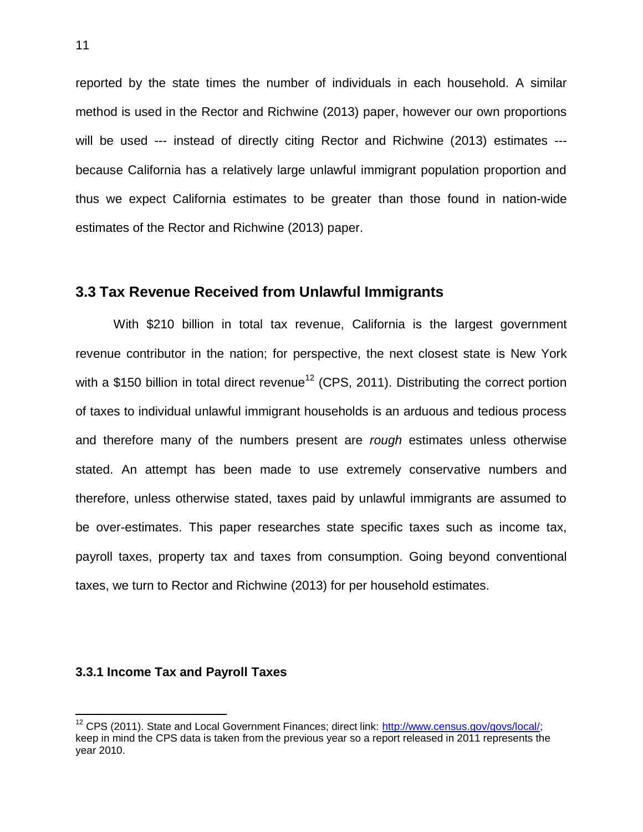reported by the state times the number of individuals in each household. A similar method is used in the Rector and Richwine (2013) paper, however our own proportions will be used --- instead of directly citing Rector and Richwine (2013) estimates --because California has a relatively large unlawful immigrant population proportion and thus we expect California estimates to be greater than those found in nation-wide estimates of the Rector and Richwine (2013) paper.

### **3.3 Tax Revenue Received from Unlawful Immigrants**

With \$210 billion in total tax revenue, California is the largest government revenue contributor in the nation; for perspective, the next closest state is New York with a \$150 billion in total direct revenue<sup>12</sup> (CPS, 2011). Distributing the correct portion of taxes to individual unlawful immigrant households is an arduous and tedious process and therefore many of the numbers present are *rough* estimates unless otherwise stated. An attempt has been made to use extremely conservative numbers and therefore, unless otherwise stated, taxes paid by unlawful immigrants are assumed to be over-estimates. This paper researches state specific taxes such as income tax, payroll taxes, property tax and taxes from consumption. Going beyond conventional taxes, we turn to Rector and Richwine (2013) for per household estimates.

### **3.3.1 Income Tax and Payroll Taxes**

<sup>&</sup>lt;sup>12</sup> CPS (2011). State and Local Government Finances; direct link: [http://www.census.gov/govs/local/;](http://www.census.gov/govs/local/) keep in mind the CPS data is taken from the previous year so a report released in 2011 represents the year 2010.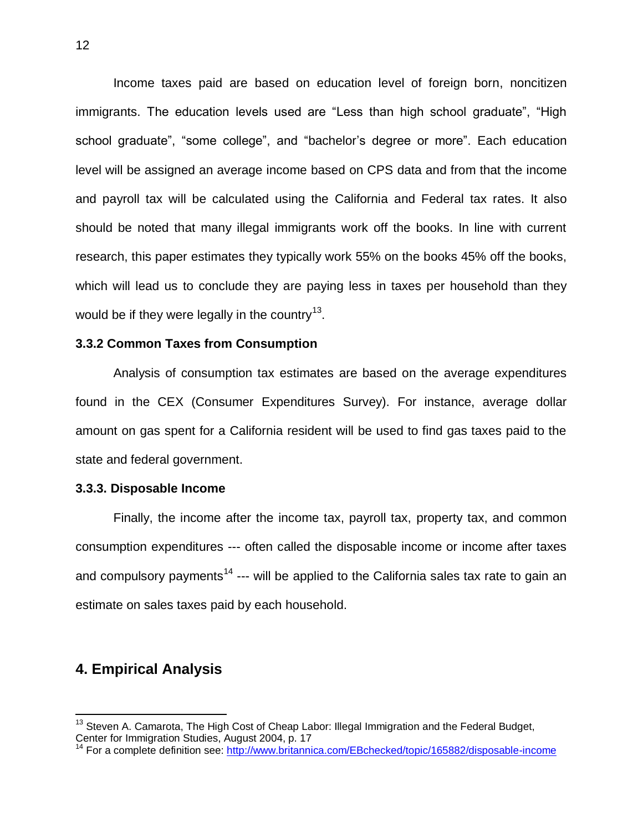Income taxes paid are based on education level of foreign born, noncitizen immigrants. The education levels used are "Less than high school graduate", "High school graduate", "some college", and "bachelor's degree or more". Each education level will be assigned an average income based on CPS data and from that the income and payroll tax will be calculated using the California and Federal tax rates. It also should be noted that many illegal immigrants work off the books. In line with current research, this paper estimates they typically work 55% on the books 45% off the books, which will lead us to conclude they are paying less in taxes per household than they would be if they were legally in the country<sup>13</sup>.

#### **3.3.2 Common Taxes from Consumption**

Analysis of consumption tax estimates are based on the average expenditures found in the CEX (Consumer Expenditures Survey). For instance, average dollar amount on gas spent for a California resident will be used to find gas taxes paid to the state and federal government.

#### **3.3.3. Disposable Income**

Finally, the income after the income tax, payroll tax, property tax, and common consumption expenditures --- often called the disposable income or income after taxes and compulsory payments<sup>14</sup> --- will be applied to the California sales tax rate to gain an estimate on sales taxes paid by each household.

# **4. Empirical Analysis**

 $13$  Steven A. Camarota, The High Cost of Cheap Labor: Illegal Immigration and the Federal Budget, Center for Immigration Studies, August 2004, p. 17

<sup>&</sup>lt;sup>14</sup> For a complete definition see:<http://www.britannica.com/EBchecked/topic/165882/disposable-income>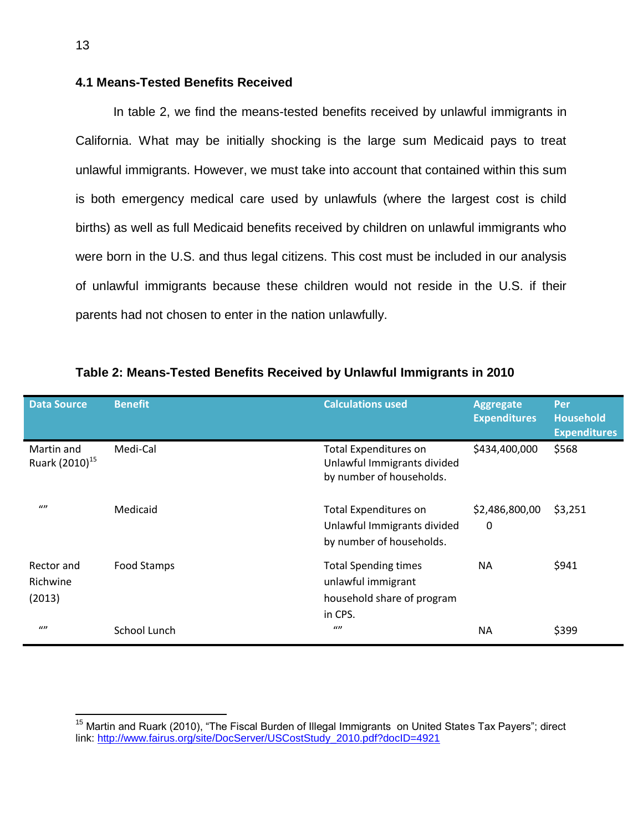## **4.1 Means-Tested Benefits Received**

In table 2, we find the means-tested benefits received by unlawful immigrants in California. What may be initially shocking is the large sum Medicaid pays to treat unlawful immigrants. However, we must take into account that contained within this sum is both emergency medical care used by unlawfuls (where the largest cost is child births) as well as full Medicaid benefits received by children on unlawful immigrants who were born in the U.S. and thus legal citizens. This cost must be included in our analysis of unlawful immigrants because these children would not reside in the U.S. if their parents had not chosen to enter in the nation unlawfully.

| <b>Data Source</b>                       | <b>Benefit</b> | <b>Calculations used</b>                                                                   | <b>Aggregate</b><br><b>Expenditures</b> | Per<br><b>Household</b><br><b>Expenditures</b> |
|------------------------------------------|----------------|--------------------------------------------------------------------------------------------|-----------------------------------------|------------------------------------------------|
| Martin and<br>Ruark (2010) <sup>15</sup> | Medi-Cal       | <b>Total Expenditures on</b><br>Unlawful Immigrants divided<br>by number of households.    | \$434,400,000                           | \$568                                          |
| $\omega$                                 | Medicaid       | <b>Total Expenditures on</b><br>Unlawful Immigrants divided<br>by number of households.    | \$2,486,800,00<br>0                     | \$3,251                                        |
| Rector and<br>Richwine<br>(2013)         | Food Stamps    | <b>Total Spending times</b><br>unlawful immigrant<br>household share of program<br>in CPS. | <b>NA</b>                               | \$941                                          |
| $\omega$                                 | School Lunch   | $\omega$                                                                                   | <b>NA</b>                               | \$399                                          |

#### **Table 2: Means-Tested Benefits Received by Unlawful Immigrants in 2010**

<sup>&</sup>lt;sup>15</sup> Martin and Ruark (2010), "The Fiscal Burden of Illegal Immigrants on United States Tax Payers"; direct link: [http://www.fairus.org/site/DocServer/USCostStudy\\_2010.pdf?docID=4921](http://www.fairus.org/site/DocServer/USCostStudy_2010.pdf?docID=4921)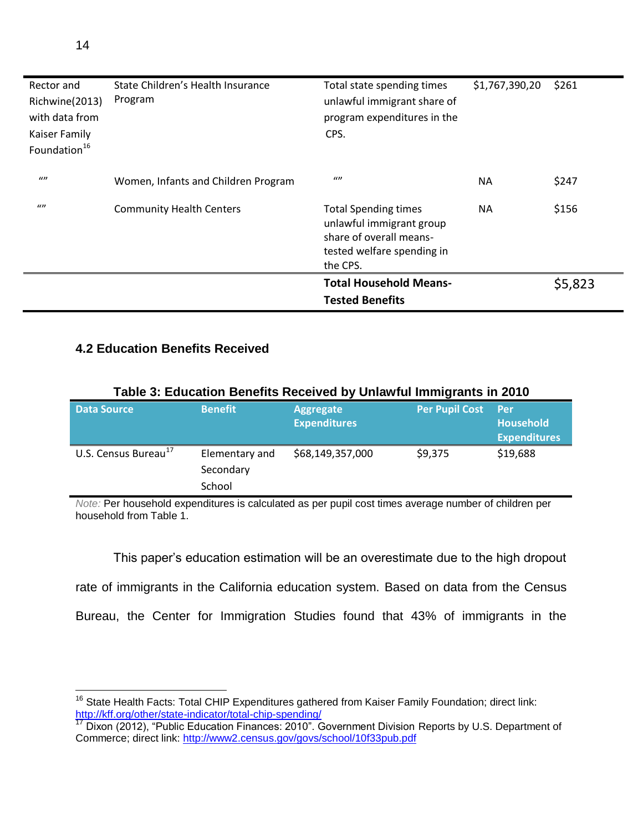| Rector and<br>Richwine(2013)<br>with data from<br>Kaiser Family<br>Foundation <sup>16</sup> | State Children's Health Insurance<br>Program | Total state spending times<br>unlawful immigrant share of<br>program expenditures in the<br>CPS.                             | \$1,767,390,20 | \$261   |
|---------------------------------------------------------------------------------------------|----------------------------------------------|------------------------------------------------------------------------------------------------------------------------------|----------------|---------|
| $\omega$                                                                                    | Women, Infants and Children Program          | $\iota$                                                                                                                      | <b>NA</b>      | \$247   |
| $\omega$                                                                                    | <b>Community Health Centers</b>              | <b>Total Spending times</b><br>unlawful immigrant group<br>share of overall means-<br>tested welfare spending in<br>the CPS. | <b>NA</b>      | \$156   |
|                                                                                             |                                              | <b>Total Household Means-</b>                                                                                                |                | \$5,823 |
|                                                                                             |                                              | <b>Tested Benefits</b>                                                                                                       |                |         |

## **4.2 Education Benefits Received**

| rable 5: Equeation Benefits Received by Uniawiul Immigrants in 2010 |                                       |                                         |                       |                                                  |  |
|---------------------------------------------------------------------|---------------------------------------|-----------------------------------------|-----------------------|--------------------------------------------------|--|
| <b>Data Source</b>                                                  | <b>Benefit</b>                        | <b>Aggregate</b><br><b>Expenditures</b> | <b>Per Pupil Cost</b> | - Per<br><b>Household</b><br><b>Expenditures</b> |  |
| U.S. Census Bureau <sup>17</sup>                                    | Elementary and<br>Secondary<br>School | \$68,149,357,000                        | \$9,375               | \$19,688                                         |  |

# **Table 3: Education Benefits Received by Unlawful Immigrants in 2010**

*Note:* Per household expenditures is calculated as per pupil cost times average number of children per household from Table 1.

This paper's education estimation will be an overestimate due to the high dropout rate of immigrants in the California education system. Based on data from the Census Bureau, the Center for Immigration Studies found that 43% of immigrants in the

 $\overline{a}$  $16$  State Health Facts: Total CHIP Expenditures gathered from Kaiser Family Foundation; direct link: <http://kff.org/other/state-indicator/total-chip-spending/>

<sup>&</sup>lt;sup>17</sup> Dixon (2012), "Public Education Finances: 2010". Government Division Reports by U.S. Department of Commerce; direct link:<http://www2.census.gov/govs/school/10f33pub.pdf>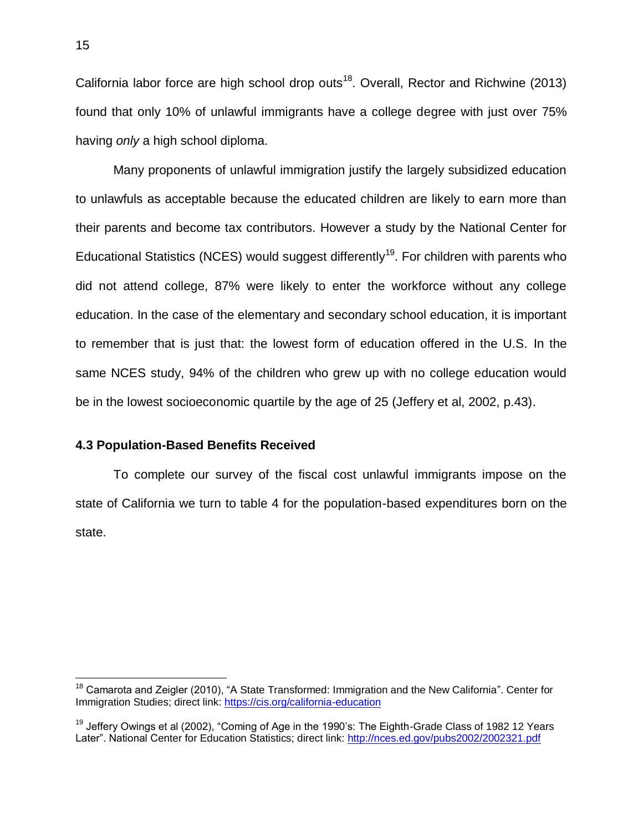California labor force are high school drop outs<sup>18</sup>. Overall, Rector and Richwine (2013) found that only 10% of unlawful immigrants have a college degree with just over 75% having *only* a high school diploma.

Many proponents of unlawful immigration justify the largely subsidized education to unlawfuls as acceptable because the educated children are likely to earn more than their parents and become tax contributors. However a study by the National Center for Educational Statistics (NCES) would suggest differently<sup>19</sup>. For children with parents who did not attend college, 87% were likely to enter the workforce without any college education. In the case of the elementary and secondary school education, it is important to remember that is just that: the lowest form of education offered in the U.S. In the same NCES study, 94% of the children who grew up with no college education would be in the lowest socioeconomic quartile by the age of 25 (Jeffery et al, 2002, p.43).

### **4.3 Population-Based Benefits Received**

To complete our survey of the fiscal cost unlawful immigrants impose on the state of California we turn to table 4 for the population-based expenditures born on the state.

<sup>&</sup>lt;sup>18</sup> Camarota and Zeigler (2010), "A State Transformed: Immigration and the New California". Center for Immigration Studies; direct link[: https://cis.org/california-education](https://cis.org/california-education)

 $19$  Jeffery Owings et al (2002), "Coming of Age in the 1990's: The Eighth-Grade Class of 1982 12 Years Later". National Center for Education Statistics; direct link:<http://nces.ed.gov/pubs2002/2002321.pdf>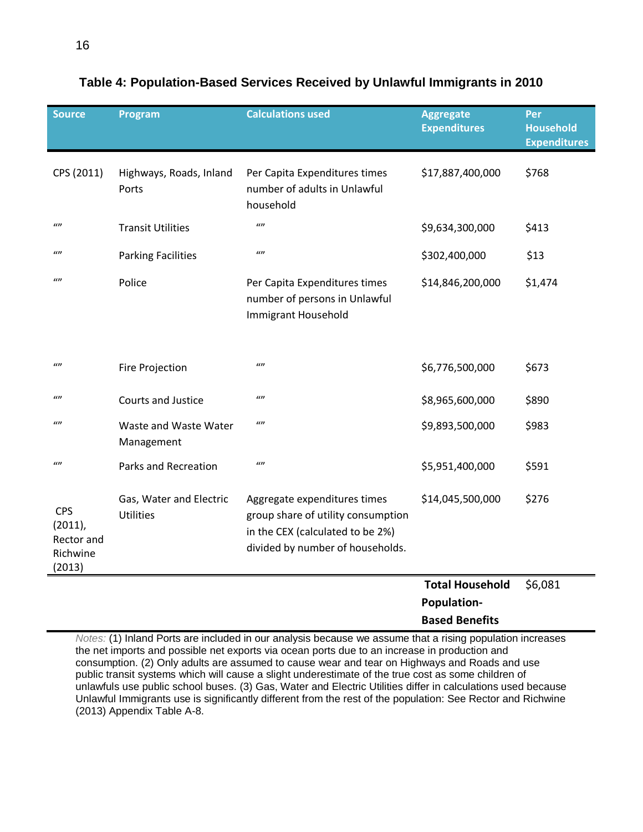| <b>Source</b>                                                | Program                                     | <b>Calculations used</b>                                                                                                                   | <b>Aggregate</b><br><b>Expenditures</b>      | Per<br><b>Household</b><br><b>Expenditures</b> |
|--------------------------------------------------------------|---------------------------------------------|--------------------------------------------------------------------------------------------------------------------------------------------|----------------------------------------------|------------------------------------------------|
| CPS (2011)                                                   | Highways, Roads, Inland<br>Ports            | Per Capita Expenditures times<br>number of adults in Unlawful<br>household                                                                 | \$17,887,400,000                             | \$768                                          |
| $\iota$                                                      | <b>Transit Utilities</b>                    | $\omega$                                                                                                                                   | \$9,634,300,000                              | \$413                                          |
| $\omega$                                                     | <b>Parking Facilities</b>                   | $\omega$                                                                                                                                   | \$302,400,000                                | \$13                                           |
| $\omega$                                                     | Police                                      | Per Capita Expenditures times<br>number of persons in Unlawful<br>Immigrant Household                                                      | \$14,846,200,000                             | \$1,474                                        |
| $\iota$                                                      | Fire Projection                             | $\iota$                                                                                                                                    | \$6,776,500,000                              | \$673                                          |
| $\omega$                                                     | Courts and Justice                          | $\iota$                                                                                                                                    | \$8,965,600,000                              | \$890                                          |
| $\iota$                                                      | Waste and Waste Water<br>Management         | $\iota$                                                                                                                                    | \$9,893,500,000                              | \$983                                          |
| $\iota$                                                      | <b>Parks and Recreation</b>                 | $\iota$                                                                                                                                    | \$5,951,400,000                              | \$591                                          |
| <b>CPS</b><br>$(2011)$ ,<br>Rector and<br>Richwine<br>(2013) | Gas, Water and Electric<br><b>Utilities</b> | Aggregate expenditures times<br>group share of utility consumption<br>in the CEX (calculated to be 2%)<br>divided by number of households. | \$14,045,500,000                             | \$276                                          |
|                                                              |                                             |                                                                                                                                            | <b>Total Household</b><br><b>Population-</b> | \$6,081                                        |

# **Table 4: Population-Based Services Received by Unlawful Immigrants in 2010**

*Notes:* (1) Inland Ports are included in our analysis because we assume that a rising population increases the net imports and possible net exports via ocean ports due to an increase in production and consumption. (2) Only adults are assumed to cause wear and tear on Highways and Roads and use public transit systems which will cause a slight underestimate of the true cost as some children of unlawfuls use public school buses. (3) Gas, Water and Electric Utilities differ in calculations used because Unlawful Immigrants use is significantly different from the rest of the population: See Rector and Richwine (2013) Appendix Table A-8.

**Based Benefits**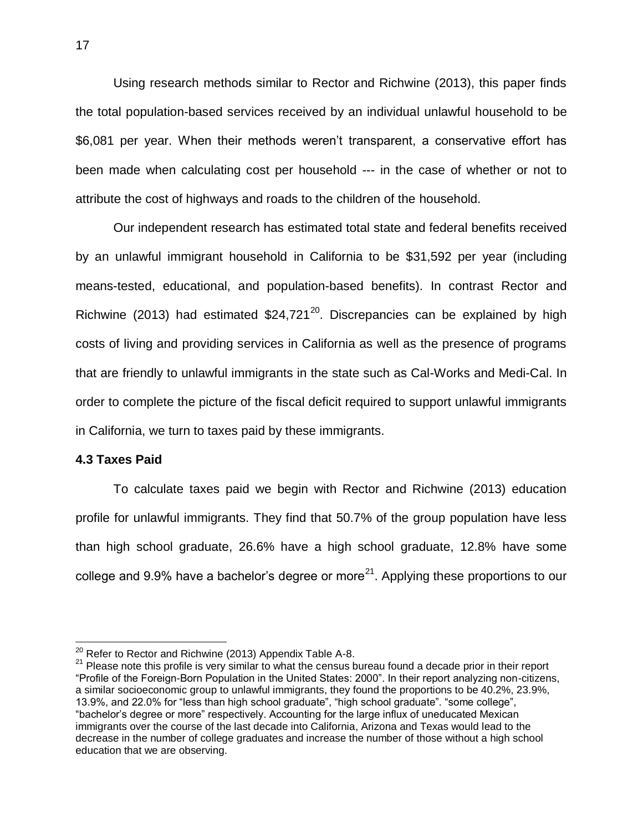Using research methods similar to Rector and Richwine (2013), this paper finds the total population-based services received by an individual unlawful household to be \$6,081 per year. When their methods weren't transparent, a conservative effort has been made when calculating cost per household --- in the case of whether or not to attribute the cost of highways and roads to the children of the household.

Our independent research has estimated total state and federal benefits received by an unlawful immigrant household in California to be \$31,592 per year (including means-tested, educational, and population-based benefits). In contrast Rector and Richwine (2013) had estimated  $$24,721^{20}$ . Discrepancies can be explained by high costs of living and providing services in California as well as the presence of programs that are friendly to unlawful immigrants in the state such as Cal-Works and Medi-Cal. In order to complete the picture of the fiscal deficit required to support unlawful immigrants in California, we turn to taxes paid by these immigrants.

#### **4.3 Taxes Paid**

 $\overline{a}$ 

To calculate taxes paid we begin with Rector and Richwine (2013) education profile for unlawful immigrants. They find that 50.7% of the group population have less than high school graduate, 26.6% have a high school graduate, 12.8% have some college and 9.9% have a bachelor's degree or more<sup>21</sup>. Applying these proportions to our

 $^{20}$  Refer to Rector and Richwine (2013) Appendix Table A-8.

<sup>&</sup>lt;sup>21</sup> Please note this profile is very similar to what the census bureau found a decade prior in their report "Profile of the Foreign-Born Population in the United States: 2000". In their report analyzing non-citizens, a similar socioeconomic group to unlawful immigrants, they found the proportions to be 40.2%, 23.9%, 13.9%, and 22.0% for "less than high school graduate", "high school graduate". "some college", "bachelor's degree or more" respectively. Accounting for the large influx of uneducated Mexican immigrants over the course of the last decade into California, Arizona and Texas would lead to the decrease in the number of college graduates and increase the number of those without a high school education that we are observing.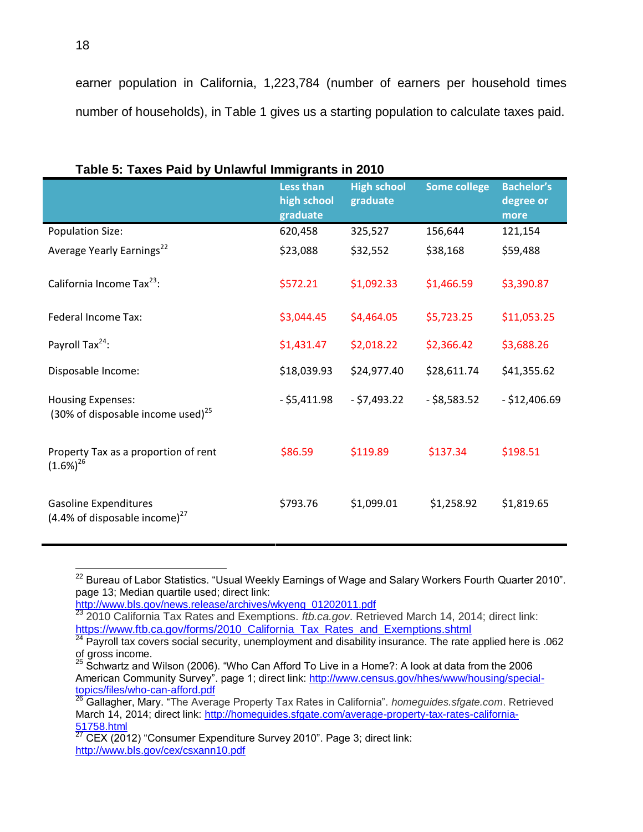earner population in California, 1,223,784 (number of earners per household times number of households), in Table 1 gives us a starting population to calculate taxes paid.

| rapic 0. Taxco r aiu by Omawiai miningranto in Zoro                          | Less than<br>high school<br>graduate | <b>High school</b><br>graduate | <b>Some college</b> | <b>Bachelor's</b><br>degree or<br>more |
|------------------------------------------------------------------------------|--------------------------------------|--------------------------------|---------------------|----------------------------------------|
| <b>Population Size:</b>                                                      | 620,458                              | 325,527                        | 156,644             | 121,154                                |
| Average Yearly Earnings <sup>22</sup>                                        | \$23,088                             | \$32,552                       | \$38,168            | \$59,488                               |
| California Income Tax <sup>23</sup> :                                        | \$572.21                             | \$1,092.33                     | \$1,466.59          | \$3,390.87                             |
| Federal Income Tax:                                                          | \$3,044.45                           | \$4,464.05                     | \$5,723.25          | \$11,053.25                            |
| Payroll Tax <sup>24</sup> :                                                  | \$1,431.47                           | \$2,018.22                     | \$2,366.42          | \$3,688.26                             |
| Disposable Income:                                                           | \$18,039.93                          | \$24,977.40                    | \$28,611.74         | \$41,355.62                            |
| <b>Housing Expenses:</b><br>(30% of disposable income used) <sup>25</sup>    | $-$ \$5,411.98                       | $- $7,493.22$                  | $-$ \$8,583.52      | $- $12,406.69$                         |
| Property Tax as a proportion of rent<br>$(1.6\%)^{26}$                       | \$86.59                              | \$119.89                       | \$137.34            | \$198.51                               |
| <b>Gasoline Expenditures</b><br>$(4.4\% \text{ of disposeable income})^{27}$ | \$793.76                             | \$1,099.01                     | \$1,258.92          | \$1,819.65                             |

|  | Table 5: Taxes Paid by Unlawful Immigrants in 2010 |
|--|----------------------------------------------------|
|  |                                                    |

 $^{22}$  Bureau of Labor Statistics. "Usual Weekly Earnings of Wage and Salary Workers Fourth Quarter 2010". page 13; Median quartile used; direct link:

[http://www.bls.gov/news.release/archives/wkyeng\\_01202011.pdf](http://www.bls.gov/news.release/archives/wkyeng_01202011.pdf)

<sup>23</sup> 2010 California Tax Rates and Exemptions. *ftb.ca.gov*. Retrieved March 14, 2014; direct link: [https://www.ftb.ca.gov/forms/2010\\_California\\_Tax\\_Rates\\_and\\_Exemptions.shtml](https://www.ftb.ca.gov/forms/2010_California_Tax_Rates_and_Exemptions.shtml)

 $^{24}$  Payroll tax covers social security, unemployment and disability insurance. The rate applied here is .062 of gross income.

 $^{25}$  Schwartz and Wilson (2006). "Who Can Afford To Live in a Home?: A look at data from the 2006 American Community Survey". page 1; direct link: [http://www.census.gov/hhes/www/housing/special](http://www.census.gov/hhes/www/housing/special-topics/files/who-can-afford.pdf)[topics/files/who-can-afford.pdf](http://www.census.gov/hhes/www/housing/special-topics/files/who-can-afford.pdf)

<sup>26</sup> Gallagher, Mary. "The Average Property Tax Rates in California". *homeguides.sfgate.com*. Retrieved March 14, 2014; direct link: [http://homeguides.sfgate.com/average-property-tax-rates-california-](http://homeguides.sfgate.com/average-property-tax-rates-california-51758.html)[51758.html](http://homeguides.sfgate.com/average-property-tax-rates-california-51758.html)

<sup>27</sup> CEX (2012) "Consumer Expenditure Survey 2010". Page 3; direct link: <http://www.bls.gov/cex/csxann10.pdf>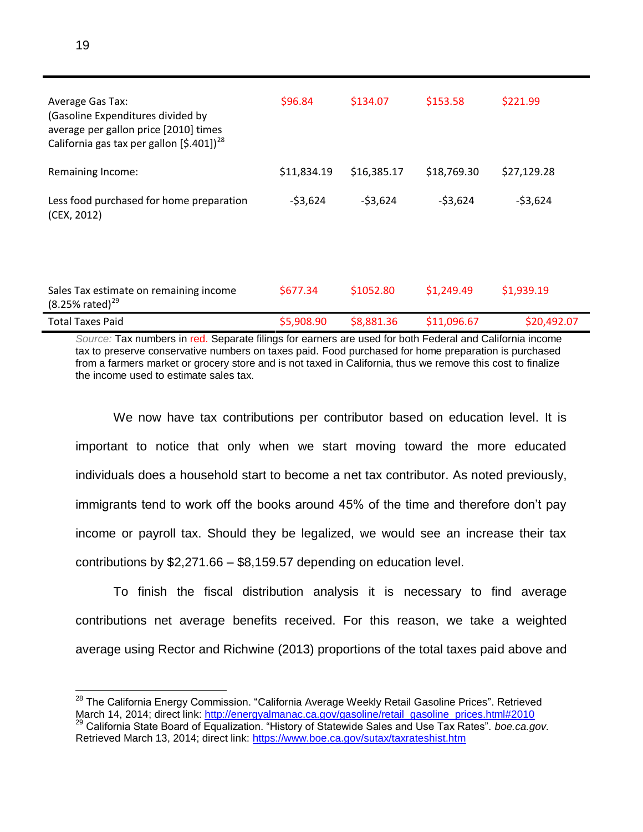| <b>Average Gas Tax:</b><br>(Gasoline Expenditures divided by<br>average per gallon price [2010] times<br>California gas tax per gallon $(5.401)^{28}$ | \$96.84     | \$134.07    | \$153.58    | \$221.99    |
|-------------------------------------------------------------------------------------------------------------------------------------------------------|-------------|-------------|-------------|-------------|
| Remaining Income:                                                                                                                                     | \$11,834.19 | \$16,385.17 | \$18,769.30 | \$27,129.28 |
| Less food purchased for home preparation<br>(CEX, 2012)                                                                                               | $-53,624$   | $-53,624$   | $-53,624$   | $-53,624$   |
|                                                                                                                                                       |             |             |             |             |
| Sales Tax estimate on remaining income<br>$(8.25\% \text{ rated})^{29}$                                                                               | \$677.34    | \$1052.80   | \$1,249.49  | \$1,939.19  |
| <b>Total Taxes Paid</b>                                                                                                                               | \$5,908.90  | \$8,881.36  | \$11,096.67 | \$20,492.07 |

*Source:* Tax numbers in red. Separate filings for earners are used for both Federal and California income tax to preserve conservative numbers on taxes paid. Food purchased for home preparation is purchased from a farmers market or grocery store and is not taxed in California, thus we remove this cost to finalize the income used to estimate sales tax.

We now have tax contributions per contributor based on education level. It is important to notice that only when we start moving toward the more educated individuals does a household start to become a net tax contributor. As noted previously, immigrants tend to work off the books around 45% of the time and therefore don't pay income or payroll tax. Should they be legalized, we would see an increase their tax contributions by \$2,271.66 – \$8,159.57 depending on education level.

To finish the fiscal distribution analysis it is necessary to find average contributions net average benefits received. For this reason, we take a weighted average using Rector and Richwine (2013) proportions of the total taxes paid above and

 $^{28}$  The California Energy Commission. "California Average Weekly Retail Gasoline Prices". Retrieved March 14, 2014; direct link: [http://energyalmanac.ca.gov/gasoline/retail\\_gasoline\\_prices.html#2010](http://energyalmanac.ca.gov/gasoline/retail_gasoline_prices.html#2010) <sup>29</sup> California State Board of Equalization. "History of Statewide Sales and Use Tax Rates". *boe.ca.gov.*  Retrieved March 13, 2014; direct link:<https://www.boe.ca.gov/sutax/taxrateshist.htm>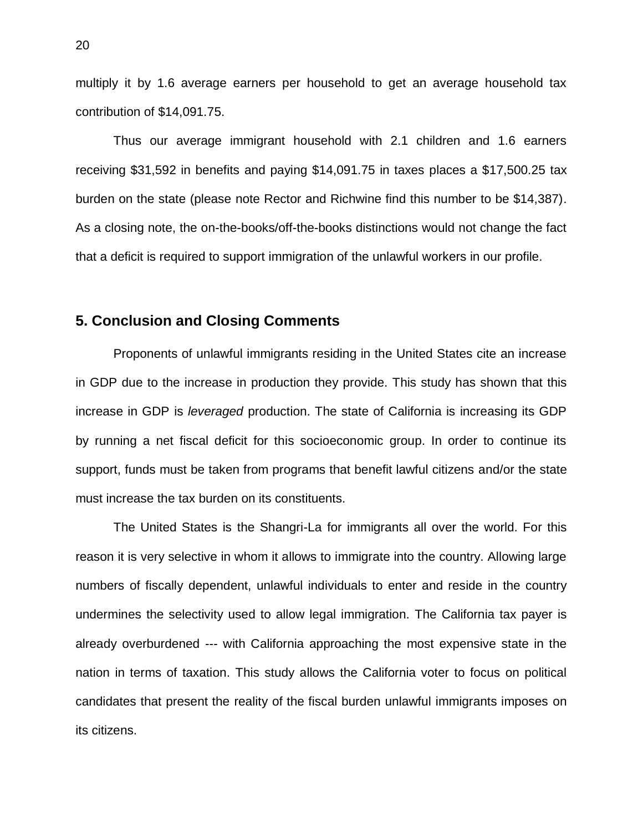multiply it by 1.6 average earners per household to get an average household tax contribution of \$14,091.75.

Thus our average immigrant household with 2.1 children and 1.6 earners receiving \$31,592 in benefits and paying \$14,091.75 in taxes places a \$17,500.25 tax burden on the state (please note Rector and Richwine find this number to be \$14,387). As a closing note, the on-the-books/off-the-books distinctions would not change the fact that a deficit is required to support immigration of the unlawful workers in our profile.

## **5. Conclusion and Closing Comments**

Proponents of unlawful immigrants residing in the United States cite an increase in GDP due to the increase in production they provide. This study has shown that this increase in GDP is *leveraged* production. The state of California is increasing its GDP by running a net fiscal deficit for this socioeconomic group. In order to continue its support, funds must be taken from programs that benefit lawful citizens and/or the state must increase the tax burden on its constituents.

The United States is the Shangri-La for immigrants all over the world. For this reason it is very selective in whom it allows to immigrate into the country. Allowing large numbers of fiscally dependent, unlawful individuals to enter and reside in the country undermines the selectivity used to allow legal immigration. The California tax payer is already overburdened --- with California approaching the most expensive state in the nation in terms of taxation. This study allows the California voter to focus on political candidates that present the reality of the fiscal burden unlawful immigrants imposes on its citizens.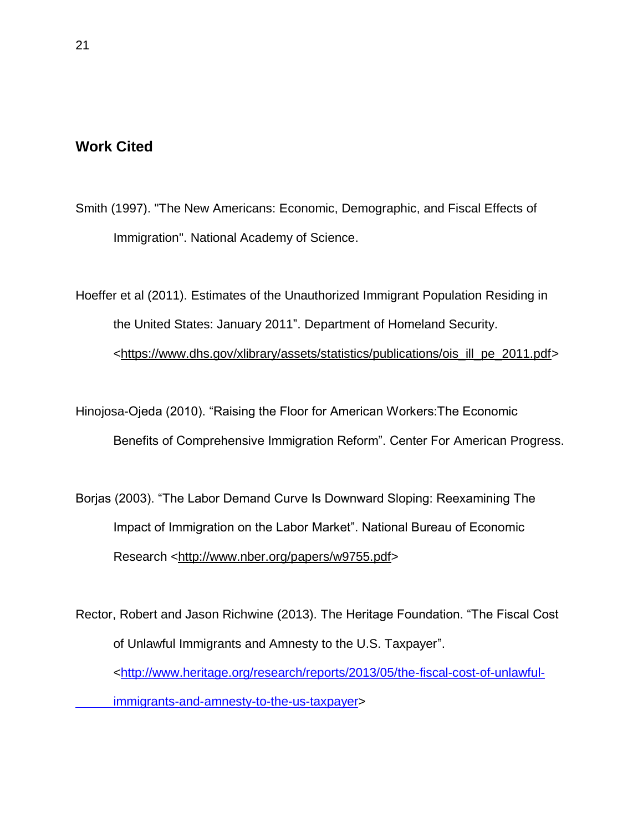# **Work Cited**

- Smith (1997). "The New Americans: Economic, Demographic, and Fiscal Effects of Immigration". National Academy of Science.
- Hoeffer et al (2011). Estimates of the Unauthorized Immigrant Population Residing in the United States: January 2011". Department of Homeland Security. [<https://www.dhs.gov/xlibrary/assets/statistics/publications/ois\\_ill\\_pe\\_2011.pdf>](https://www.dhs.gov/xlibrary/assets/statistics/publications/ois_ill_pe_2011.pdf)

Hinojosa-Ojeda (2010). "Raising the Floor for American Workers:The Economic Benefits of Comprehensive Immigration Reform". Center For American Progress.

Borjas (2003). "The Labor Demand Curve Is Downward Sloping: Reexamining The Impact of Immigration on the Labor Market". National Bureau of Economic Research [<http://www.nber.org/papers/w9755.pdf>](http://www.nber.org/papers/w9755.pdf)

Rector, Robert and Jason Richwine (2013). The Heritage Foundation. "The Fiscal Cost of Unlawful Immigrants and Amnesty to the U.S. Taxpayer". [<http://www.heritage.org/research/reports/2013/05/the-fiscal-cost-of-unlawful](http://www.heritage.org/research/reports/2013/05/the-fiscal-cost-of-unlawful-%09immigrants-and-amnesty-to-the-us-taxpayer)[immigrants-and-amnesty-to-the-us-taxpayer>](http://www.heritage.org/research/reports/2013/05/the-fiscal-cost-of-unlawful-%09immigrants-and-amnesty-to-the-us-taxpayer)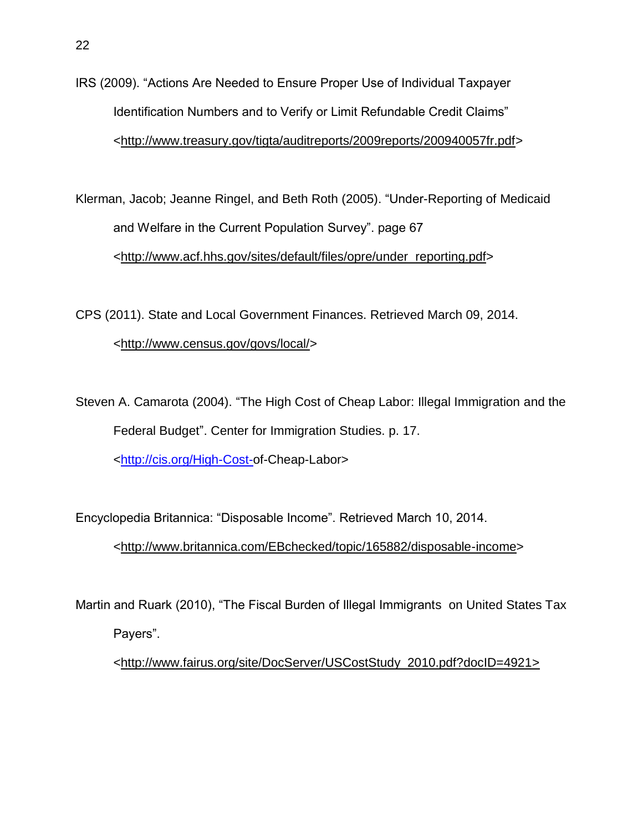- IRS (2009). "Actions Are Needed to Ensure Proper Use of Individual Taxpayer Identification Numbers and to Verify or Limit Refundable Credit Claims" [<http://www.treasury.gov/tigta/auditreports/2009reports/200940057fr.pdf>](http://www.treasury.gov/tigta/auditreports/2009reports/200940057fr.pdf)
- Klerman, Jacob; Jeanne Ringel, and Beth Roth (2005). "Under-Reporting of Medicaid and Welfare in the Current Population Survey". page 67 [<http://www.acf.hhs.gov/sites/default/files/opre/under\\_reporting.pdf>](http://www.acf.hhs.gov/sites/default/files/opre/under_reporting.pdf)
- CPS (2011). State and Local Government Finances. Retrieved March 09, 2014. [<http://www.census.gov/govs/local/>](http://www.census.gov/govs/local/)
- Steven A. Camarota (2004). "The High Cost of Cheap Labor: Illegal Immigration and the Federal Budget". Center for Immigration Studies. p. 17. [<http://cis.org/High-Cost-o](http://cis.org/High-Cost-)f-Cheap-Labor>

Encyclopedia Britannica: "Disposable Income". Retrieved March 10, 2014.

[<http://www.britannica.com/EBchecked/topic/165882/disposable-income>](http://www.britannica.com/EBchecked/topic/165882/disposable-income)

Martin and Ruark (2010), "The Fiscal Burden of Illegal Immigrants on United States Tax Payers".

[<http://www.fairus.org/site/DocServer/USCostStudy\\_2010.pdf?docID=4921>](http://www.fairus.org/site/DocServer/USCostStudy_2010.pdf?docID=4921)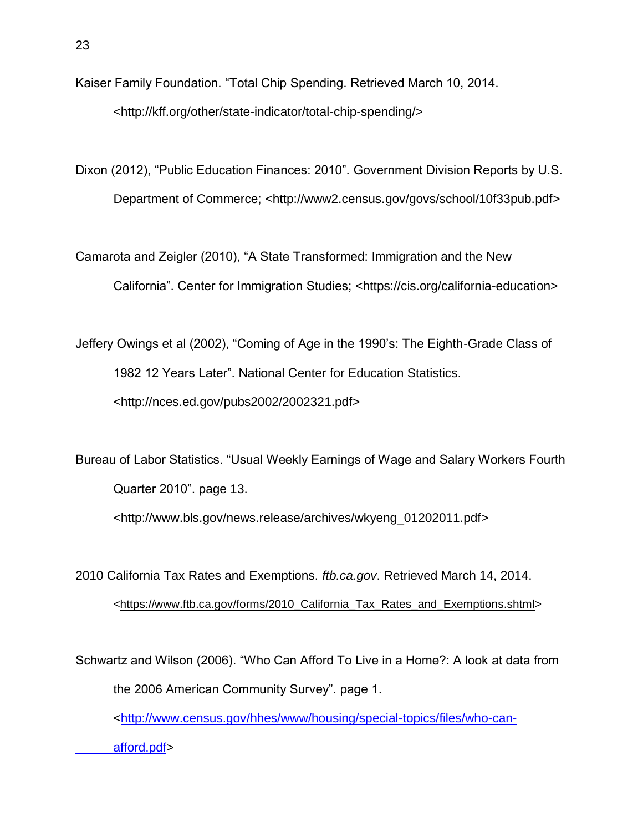Kaiser Family Foundation. "Total Chip Spending. Retrieved March 10, 2014.

## [<http://kff.org/other/state-indicator/total-chip-spending/>](http://kff.org/other/state-indicator/total-chip-spending/)

Dixon (2012), "Public Education Finances: 2010". Government Division Reports by U.S. Department of Commerce; [<http://www2.census.gov/govs/school/10f33pub.pdf>](http://www2.census.gov/govs/school/10f33pub.pdf)

Camarota and Zeigler (2010), "A State Transformed: Immigration and the New California". Center for Immigration Studies; [<https://cis.org/california-education>](https://cis.org/california-education)

Jeffery Owings et al (2002), "Coming of Age in the 1990's: The Eighth-Grade Class of 1982 12 Years Later". National Center for Education Statistics. [<http://nces.ed.gov/pubs2002/2002321.pdf>](http://nces.ed.gov/pubs2002/2002321.pdf)

Bureau of Labor Statistics. "Usual Weekly Earnings of Wage and Salary Workers Fourth Quarter 2010". page 13.

[<http://www.bls.gov/news.release/archives/wkyeng\\_01202011.pdf>](http://www.bls.gov/news.release/archives/wkyeng_01202011.pdf)

2010 California Tax Rates and Exemptions. *ftb.ca.gov*. Retrieved March 14, 2014. [<https://www.ftb.ca.gov/forms/2010\\_California\\_Tax\\_Rates\\_and\\_Exemptions.shtml>](https://www.ftb.ca.gov/forms/2010_California_Tax_Rates_and_Exemptions.shtml)

Schwartz and Wilson (2006). "Who Can Afford To Live in a Home?: A look at data from the 2006 American Community Survey". page 1. [<http://www.census.gov/hhes/www/housing/special-topics/files/who-can](http://www.census.gov/hhes/www/housing/special-topics/files/who-can-%09afford.pdf)[afford.pdf>](http://www.census.gov/hhes/www/housing/special-topics/files/who-can-%09afford.pdf)